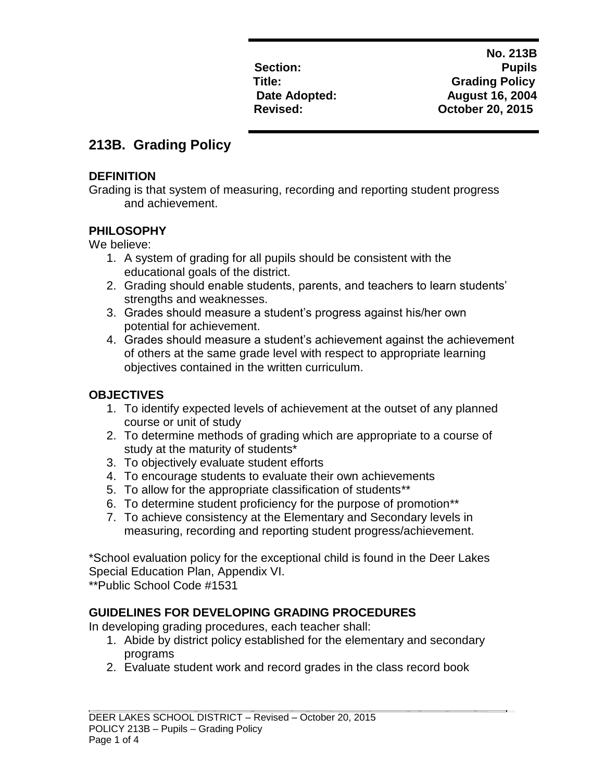**No. 213B Section: Pupils Title: Grading Policy** Date Adopted: **August 16, 2004 Revised: October 20, 2015**

# **213B. Grading Policy**

#### **DEFINITION**

Grading is that system of measuring, recording and reporting student progress and achievement.

### **PHILOSOPHY**

We believe:

- 1. A system of grading for all pupils should be consistent with the educational goals of the district.
- 2. Grading should enable students, parents, and teachers to learn students' strengths and weaknesses.
- 3. Grades should measure a student's progress against his/her own potential for achievement.
- 4. Grades should measure a student's achievement against the achievement of others at the same grade level with respect to appropriate learning objectives contained in the written curriculum.

## **OBJECTIVES**

- 1. To identify expected levels of achievement at the outset of any planned course or unit of study
- 2. To determine methods of grading which are appropriate to a course of study at the maturity of students\*
- 3. To objectively evaluate student efforts
- 4. To encourage students to evaluate their own achievements
- 5. To allow for the appropriate classification of students\*\*
- 6. To determine student proficiency for the purpose of promotion\*\*
- 7. To achieve consistency at the Elementary and Secondary levels in measuring, recording and reporting student progress/achievement.

\*School evaluation policy for the exceptional child is found in the Deer Lakes Special Education Plan, Appendix VI.

\*\*Public School Code #1531

### **GUIDELINES FOR DEVELOPING GRADING PROCEDURES**

In developing grading procedures, each teacher shall:

- 1. Abide by district policy established for the elementary and secondary programs
- 2. Evaluate student work and record grades in the class record book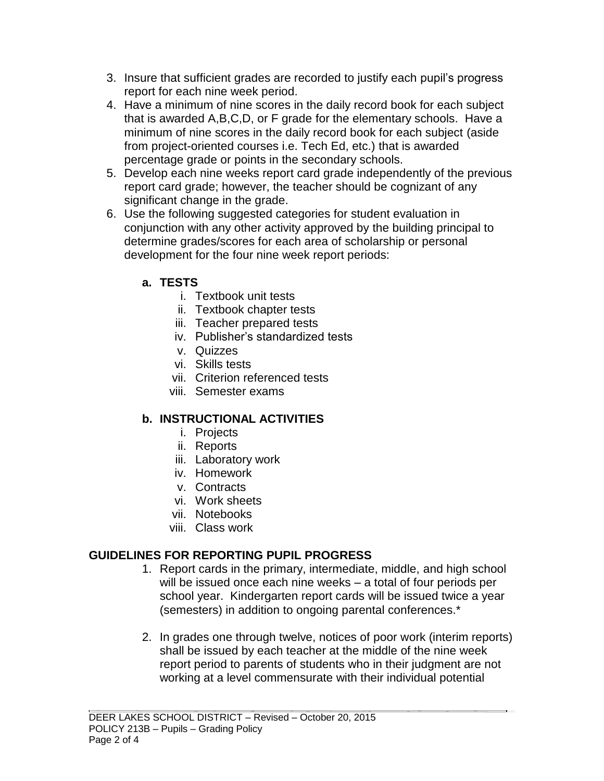- 3. Insure that sufficient grades are recorded to justify each pupil's progress report for each nine week period.
- 4. Have a minimum of nine scores in the daily record book for each subject that is awarded A,B,C,D, or F grade for the elementary schools. Have a minimum of nine scores in the daily record book for each subject (aside from project-oriented courses i.e. Tech Ed, etc.) that is awarded percentage grade or points in the secondary schools.
- 5. Develop each nine weeks report card grade independently of the previous report card grade; however, the teacher should be cognizant of any significant change in the grade.
- 6. Use the following suggested categories for student evaluation in conjunction with any other activity approved by the building principal to determine grades/scores for each area of scholarship or personal development for the four nine week report periods:
	- **a. TESTS**
		- i. Textbook unit tests
		- ii. Textbook chapter tests
		- iii. Teacher prepared tests
		- iv. Publisher's standardized tests
		- v. Quizzes
		- vi. Skills tests
		- vii. Criterion referenced tests
		- viii. Semester exams

# **b. INSTRUCTIONAL ACTIVITIES**

- i. Projects
- ii. Reports
- iii. Laboratory work
- iv. Homework
- v. Contracts
- vi. Work sheets
- vii. Notebooks
- viii. Class work

### **GUIDELINES FOR REPORTING PUPIL PROGRESS**

- 1. Report cards in the primary, intermediate, middle, and high school will be issued once each nine weeks – a total of four periods per school year. Kindergarten report cards will be issued twice a year (semesters) in addition to ongoing parental conferences.\*
- 2. In grades one through twelve, notices of poor work (interim reports) shall be issued by each teacher at the middle of the nine week report period to parents of students who in their judgment are not working at a level commensurate with their individual potential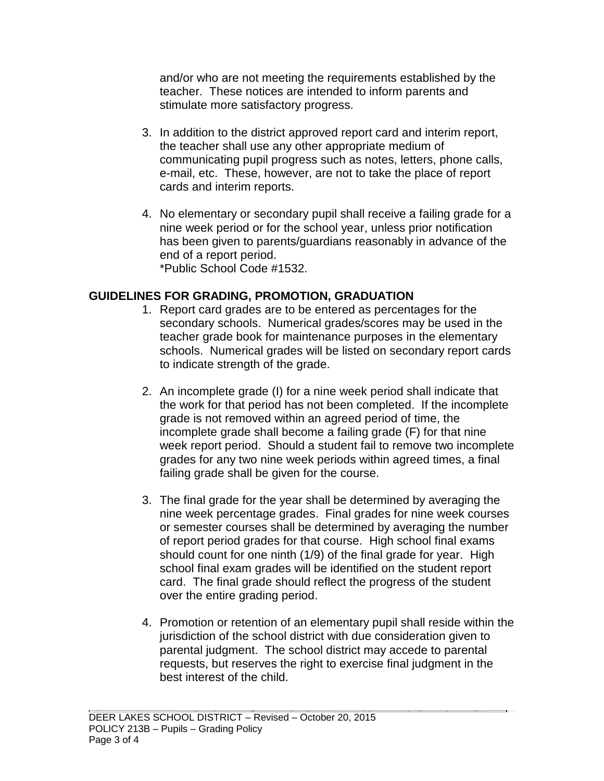and/or who are not meeting the requirements established by the teacher. These notices are intended to inform parents and stimulate more satisfactory progress.

- 3. In addition to the district approved report card and interim report, the teacher shall use any other appropriate medium of communicating pupil progress such as notes, letters, phone calls, e-mail, etc. These, however, are not to take the place of report cards and interim reports.
- 4. No elementary or secondary pupil shall receive a failing grade for a nine week period or for the school year, unless prior notification has been given to parents/guardians reasonably in advance of the end of a report period. \*Public School Code #1532.

#### **GUIDELINES FOR GRADING, PROMOTION, GRADUATION**

- 1. Report card grades are to be entered as percentages for the secondary schools. Numerical grades/scores may be used in the teacher grade book for maintenance purposes in the elementary schools. Numerical grades will be listed on secondary report cards to indicate strength of the grade.
- 2. An incomplete grade (I) for a nine week period shall indicate that the work for that period has not been completed. If the incomplete grade is not removed within an agreed period of time, the incomplete grade shall become a failing grade (F) for that nine week report period. Should a student fail to remove two incomplete grades for any two nine week periods within agreed times, a final failing grade shall be given for the course.
- 3. The final grade for the year shall be determined by averaging the nine week percentage grades. Final grades for nine week courses or semester courses shall be determined by averaging the number of report period grades for that course. High school final exams should count for one ninth (1/9) of the final grade for year. High school final exam grades will be identified on the student report card. The final grade should reflect the progress of the student over the entire grading period.
- 4. Promotion or retention of an elementary pupil shall reside within the jurisdiction of the school district with due consideration given to parental judgment. The school district may accede to parental requests, but reserves the right to exercise final judgment in the best interest of the child.